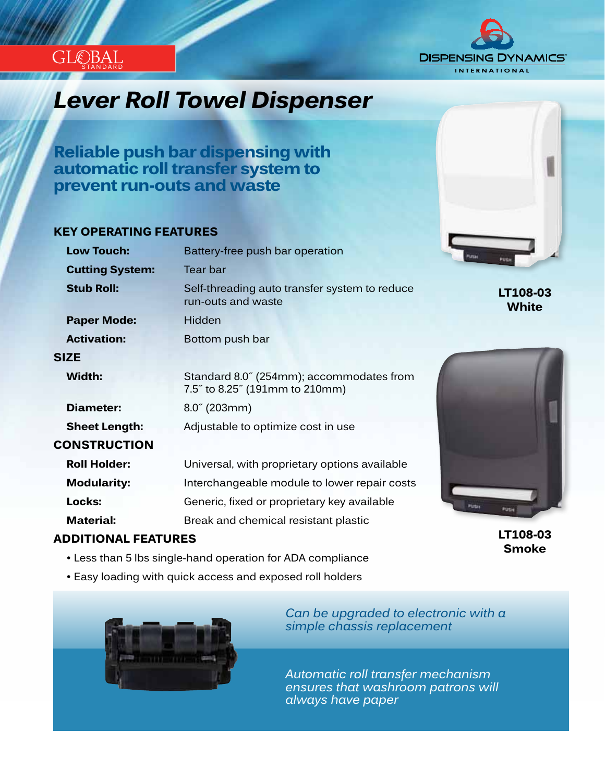

### *Innovation...Design...Solutions Lever Roll Towel Dispenser*

**Reliable push bar dispensing with automatic roll transfer system to prevent run-outs and waste**

### **KEY OPERATING FEATURES**

STANDARD

GLE)BAI

| <b>Low Touch:</b>      | Battery-free push bar operation                                            | Pirtue<br>PUSH          |
|------------------------|----------------------------------------------------------------------------|-------------------------|
| <b>Cutting System:</b> | Tear bar                                                                   |                         |
| <b>Stub Roll:</b>      | Self-threading auto transfer system to reduce<br>run-outs and waste        | LT108-0<br><b>White</b> |
| <b>Paper Mode:</b>     | Hidden                                                                     |                         |
| <b>Activation:</b>     | Bottom push bar                                                            |                         |
| <b>SIZE</b>            |                                                                            |                         |
| Width:                 | Standard 8.0" (254mm); accommodates from<br>7.5" to 8.25" (191mm to 210mm) |                         |
| Diameter:              | $8.0^{\circ}$ (203mm)                                                      |                         |
| <b>Sheet Length:</b>   | Adjustable to optimize cost in use                                         |                         |
| <b>CONSTRUCTION</b>    |                                                                            |                         |
| <b>Roll Holder:</b>    | Universal, with proprietary options available                              |                         |
| <b>Modularity:</b>     | Interchangeable module to lower repair costs                               |                         |
| Locks:                 | Generic, fixed or proprietary key available                                | Pizton<br>PUSH          |
| <b>Material:</b>       | Break and chemical resistant plastic                                       |                         |

### **ADDITIONAL FEATURES**

- Less than 5 lbs single-hand operation for ADA compliance
- Easy loading with quick access and exposed roll holders



*Can be upgraded to electronic with a simple chassis replacement*

*Automatic roll transfer mechanism ensures that washroom patrons will always have paper*



**LT108-03**

# **LT108-03**